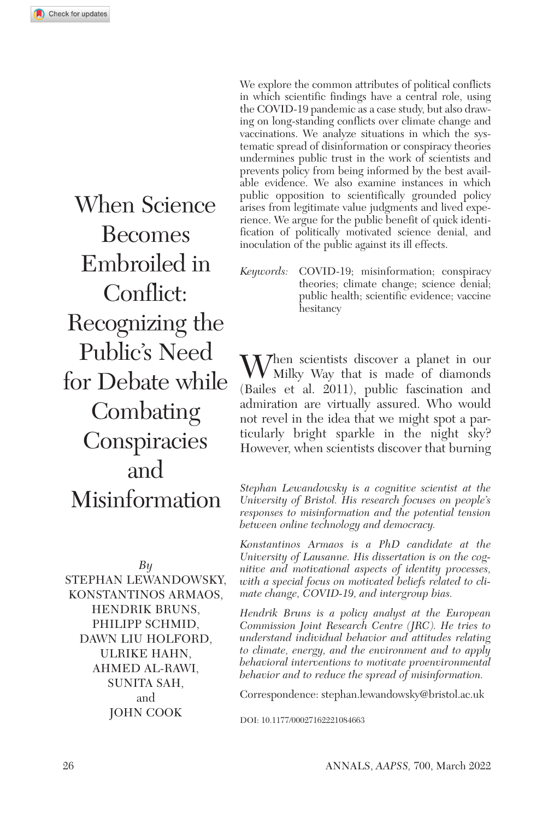When Science Becomes Embroiled in Conflict: Recognizing the Public's Need for Debate while **Combating Conspiracies** and Misinformation

*By*

Stephan Lewandowsky, Konstantinos Armaos, Hendrik Bruns, Philipp Schmid, Dawn Liu Holford, Ulrike Hahn, Ahmed Al-Rawi, SUNITA SAH. and John Cook

We explore the common attributes of political conflicts in which scientific findings have a central role, using the COVID-19 pandemic as a case study, but also drawing on long-standing conflicts over climate change and vaccinations. We analyze situations in which the systematic spread of disinformation or conspiracy theories undermines public trust in the work of scientists and prevents policy from being informed by the best available evidence. We also examine instances in which public opposition to scientifically grounded policy arises from legitimate value judgments and lived experience. We argue for the public benefit of quick identification of politically motivated science denial, and inoculation of the public against its ill effects.

*Keywords:* COVID-19; misinformation; conspiracy theories; climate change; science denial; public health; scientific evidence; vaccine hesitancy

When scientists discover a planet in our Milky Way that is made of diamonds (Bailes et al. 2011), public fascination and admiration are virtually assured. Who would not revel in the idea that we might spot a particularly bright sparkle in the night sky? However, when scientists discover that burning

*Stephan Lewandowsky is a cognitive scientist at the University of Bristol. His research focuses on people's responses to misinformation and the potential tension between online technology and democracy.*

*Konstantinos Armaos is a PhD candidate at the University of Lausanne. His dissertation is on the cognitive and motivational aspects of identity processes, with a special focus on motivated beliefs related to climate change, COVID-19, and intergroup bias.*

*Hendrik Bruns is a policy analyst at the European Commission Joint Research Centre (JRC). He tries to understand individual behavior and attitudes relating to climate, energy, and the environment and to apply behavioral interventions to motivate proenvironmental behavior and to reduce the spread of misinformation.*

Correspondence: [stephan.lewandowsky@bristol.ac.uk](mailto:stephan.lewandowsky@bristol.ac.uk)

DOI: 10.1177/00027162221084663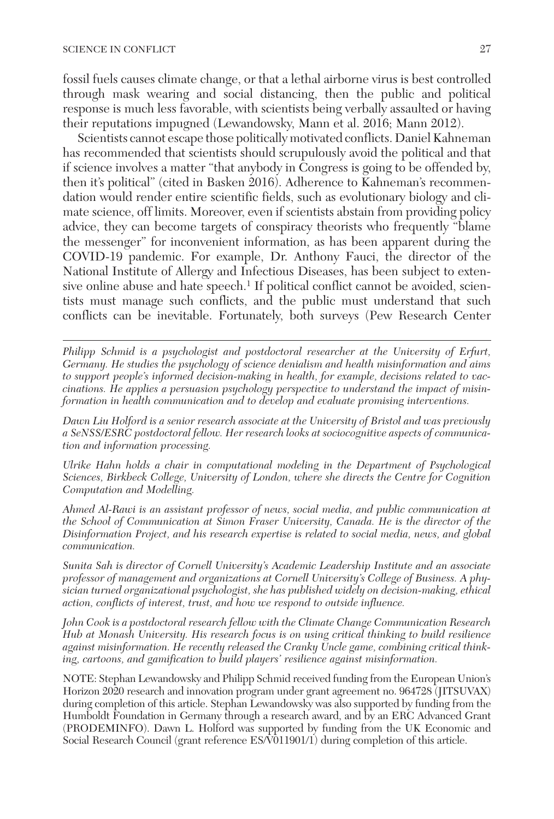fossil fuels causes climate change, or that a lethal airborne virus is best controlled through mask wearing and social distancing, then the public and political response is much less favorable, with scientists being verbally assaulted or having their reputations impugned (Lewandowsky, Mann et al. 2016; Mann 2012).

Scientists cannot escape those politically motivated conflicts. Daniel Kahneman has recommended that scientists should scrupulously avoid the political and that if science involves a matter "that anybody in Congress is going to be offended by, then it's political" (cited in Basken 2016). Adherence to Kahneman's recommendation would render entire scientific fields, such as evolutionary biology and climate science, off limits. Moreover, even if scientists abstain from providing policy advice, they can become targets of conspiracy theorists who frequently "blame the messenger" for inconvenient information, as has been apparent during the COVID-19 pandemic. For example, Dr. Anthony Fauci, the director of the National Institute of Allergy and Infectious Diseases, has been subject to extensive online abuse and hate speech.<sup>1</sup> If political conflict cannot be avoided, scientists must manage such conflicts, and the public must understand that such conflicts can be inevitable. Fortunately, both surveys (Pew Research Center

*Philipp Schmid is a psychologist and postdoctoral researcher at the University of Erfurt, Germany. He studies the psychology of science denialism and health misinformation and aims to support people's informed decision-making in health, for example, decisions related to vaccinations. He applies a persuasion psychology perspective to understand the impact of misinformation in health communication and to develop and evaluate promising interventions.*

*Dawn Liu Holford is a senior research associate at the University of Bristol and was previously a SeNSS/ESRC postdoctoral fellow. Her research looks at sociocognitive aspects of communication and information processing.*

*Ulrike Hahn holds a chair in computational modeling in the Department of Psychological Sciences, Birkbeck College, University of London, where she directs the Centre for Cognition Computation and Modelling.*

*Ahmed Al-Rawi is an assistant professor of news, social media, and public communication at the School of Communication at Simon Fraser University, Canada. He is the director of the Disinformation Project, and his research expertise is related to social media, news, and global communication.*

*Sunita Sah is director of Cornell University's Academic Leadership Institute and an associate professor of management and organizations at Cornell University's College of Business. A physician turned organizational psychologist, she has published widely on decision-making, ethical action, conflicts of interest, trust, and how we respond to outside influence.*

*John Cook is a postdoctoral research fellow with the Climate Change Communication Research Hub at Monash University. His research focus is on using critical thinking to build resilience against misinformation. He recently released the Cranky Uncle game, combining critical thinking, cartoons, and gamification to build players' resilience against misinformation.*

NOTE: Stephan Lewandowsky and Philipp Schmid received funding from the European Union's Horizon 2020 research and innovation program under grant agreement no. 964728 (JITSUVAX) during completion of this article. Stephan Lewandowsky was also supported by funding from the Humboldt Foundation in Germany through a research award, and by an ERC Advanced Grant (PRODEMINFO). Dawn L. Holford was supported by funding from the UK Economic and Social Research Council (grant reference ES/V011901/1) during completion of this article.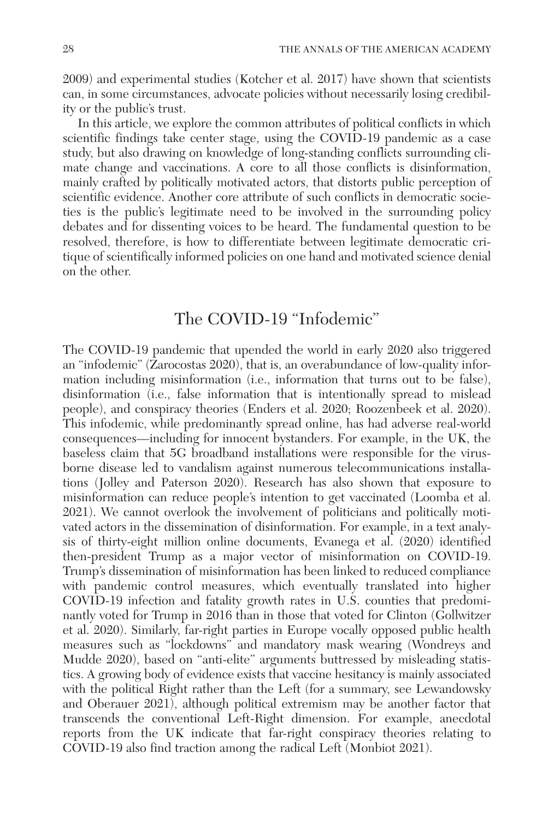2009) and experimental studies (Kotcher et al. 2017) have shown that scientists can, in some circumstances, advocate policies without necessarily losing credibility or the public's trust.

In this article, we explore the common attributes of political conflicts in which scientific findings take center stage, using the COVID-19 pandemic as a case study, but also drawing on knowledge of long-standing conflicts surrounding climate change and vaccinations. A core to all those conflicts is disinformation, mainly crafted by politically motivated actors, that distorts public perception of scientific evidence. Another core attribute of such conflicts in democratic societies is the public's legitimate need to be involved in the surrounding policy debates and for dissenting voices to be heard. The fundamental question to be resolved, therefore, is how to differentiate between legitimate democratic critique of scientifically informed policies on one hand and motivated science denial on the other.

# The COVID-19 "Infodemic"

The COVID-19 pandemic that upended the world in early 2020 also triggered an "infodemic" (Zarocostas 2020), that is, an overabundance of low-quality information including misinformation (i.e., information that turns out to be false), disinformation (i.e., false information that is intentionally spread to mislead people), and conspiracy theories (Enders et al. 2020; Roozenbeek et al. 2020). This infodemic, while predominantly spread online, has had adverse real-world consequences—including for innocent bystanders. For example, in the UK, the baseless claim that 5G broadband installations were responsible for the virusborne disease led to vandalism against numerous telecommunications installations (Jolley and Paterson 2020). Research has also shown that exposure to misinformation can reduce people's intention to get vaccinated (Loomba et al. 2021). We cannot overlook the involvement of politicians and politically motivated actors in the dissemination of disinformation. For example, in a text analysis of thirty-eight million online documents, Evanega et al. (2020) identified then-president Trump as a major vector of misinformation on COVID-19. Trump's dissemination of misinformation has been linked to reduced compliance with pandemic control measures, which eventually translated into higher COVID-19 infection and fatality growth rates in U.S. counties that predominantly voted for Trump in 2016 than in those that voted for Clinton (Gollwitzer et al. 2020). Similarly, far-right parties in Europe vocally opposed public health measures such as "lockdowns" and mandatory mask wearing (Wondreys and Mudde 2020), based on "anti-elite" arguments buttressed by misleading statistics. A growing body of evidence exists that vaccine hesitancy is mainly associated with the political Right rather than the Left (for a summary, see Lewandowsky and Oberauer 2021), although political extremism may be another factor that transcends the conventional Left-Right dimension. For example, anecdotal reports from the UK indicate that far-right conspiracy theories relating to COVID-19 also find traction among the radical Left (Monbiot 2021).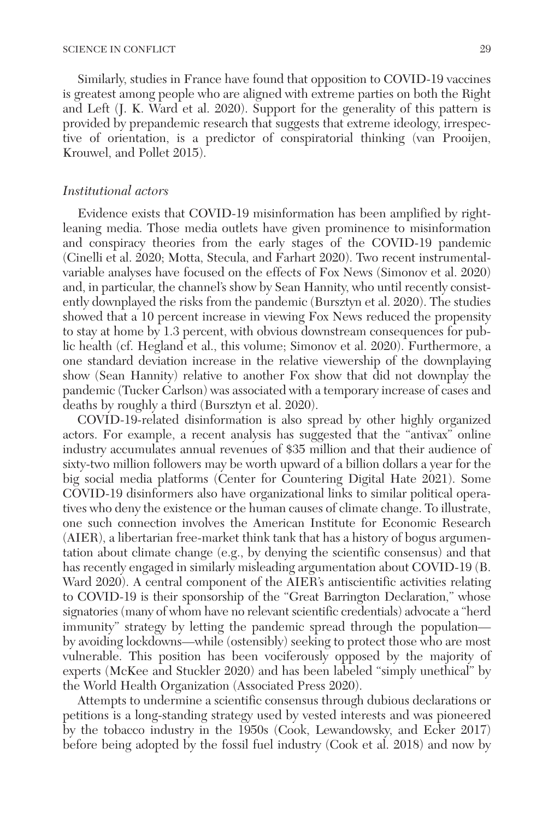Similarly, studies in France have found that opposition to COVID-19 vaccines is greatest among people who are aligned with extreme parties on both the Right and Left (J. K. Ward et al. 2020). Support for the generality of this pattern is provided by prepandemic research that suggests that extreme ideology, irrespective of orientation, is a predictor of conspiratorial thinking (van Prooijen, Krouwel, and Pollet 2015).

#### *Institutional actors*

Evidence exists that COVID-19 misinformation has been amplified by rightleaning media. Those media outlets have given prominence to misinformation and conspiracy theories from the early stages of the COVID-19 pandemic (Cinelli et al. 2020; Motta, Stecula, and Farhart 2020). Two recent instrumentalvariable analyses have focused on the effects of Fox News (Simonov et al. 2020) and, in particular, the channel's show by Sean Hannity, who until recently consistently downplayed the risks from the pandemic (Bursztyn et al. 2020). The studies showed that a 10 percent increase in viewing Fox News reduced the propensity to stay at home by 1.3 percent, with obvious downstream consequences for public health (cf. Hegland et al., this volume; Simonov et al. 2020). Furthermore, a one standard deviation increase in the relative viewership of the downplaying show (Sean Hannity) relative to another Fox show that did not downplay the pandemic (Tucker Carlson) was associated with a temporary increase of cases and deaths by roughly a third (Bursztyn et al. 2020).

COVID-19-related disinformation is also spread by other highly organized actors. For example, a recent analysis has suggested that the "antivax" online industry accumulates annual revenues of \$35 million and that their audience of sixty-two million followers may be worth upward of a billion dollars a year for the big social media platforms (Center for Countering Digital Hate 2021). Some COVID-19 disinformers also have organizational links to similar political operatives who deny the existence or the human causes of climate change. To illustrate, one such connection involves the American Institute for Economic Research (AIER), a libertarian free-market think tank that has a history of bogus argumentation about climate change (e.g., by denying the scientific consensus) and that has recently engaged in similarly misleading argumentation about COVID-19 (B. Ward 2020). A central component of the AIER's antiscientific activities relating to COVID-19 is their sponsorship of the "Great Barrington Declaration," whose signatories (many of whom have no relevant scientific credentials) advocate a "herd immunity" strategy by letting the pandemic spread through the population by avoiding lockdowns—while (ostensibly) seeking to protect those who are most vulnerable. This position has been vociferously opposed by the majority of experts (McKee and Stuckler 2020) and has been labeled "simply unethical" by the World Health Organization (Associated Press 2020).

Attempts to undermine a scientific consensus through dubious declarations or petitions is a long-standing strategy used by vested interests and was pioneered by the tobacco industry in the 1950s (Cook, Lewandowsky, and Ecker 2017) before being adopted by the fossil fuel industry (Cook et al. 2018) and now by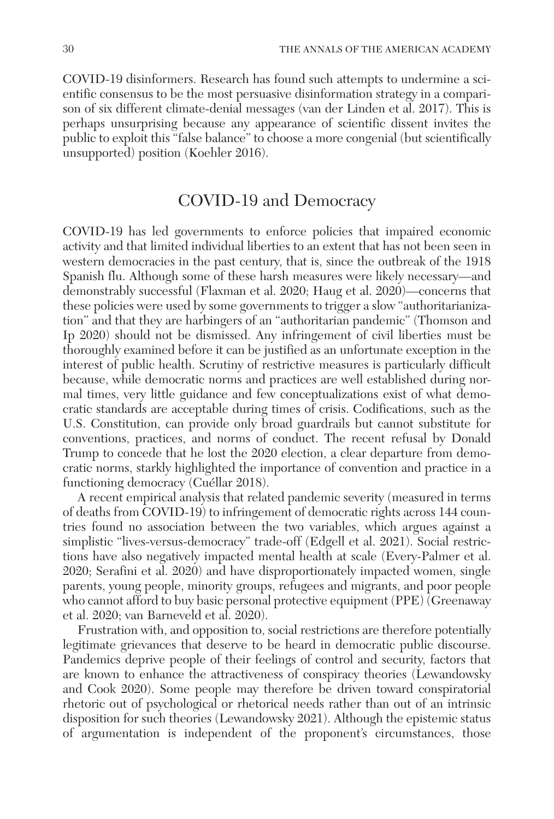COVID-19 disinformers. Research has found such attempts to undermine a scientific consensus to be the most persuasive disinformation strategy in a comparison of six different climate-denial messages (van der Linden et al. 2017). This is perhaps unsurprising because any appearance of scientific dissent invites the public to exploit this "false balance" to choose a more congenial (but scientifically unsupported) position (Koehler 2016).

### COVID-19 and Democracy

COVID-19 has led governments to enforce policies that impaired economic activity and that limited individual liberties to an extent that has not been seen in western democracies in the past century, that is, since the outbreak of the 1918 Spanish flu. Although some of these harsh measures were likely necessary—and demonstrably successful (Flaxman et al. 2020; Haug et al. 2020)—concerns that these policies were used by some governments to trigger a slow "authoritarianization" and that they are harbingers of an "authoritarian pandemic" (Thomson and Ip 2020) should not be dismissed. Any infringement of civil liberties must be thoroughly examined before it can be justified as an unfortunate exception in the interest of public health. Scrutiny of restrictive measures is particularly difficult because, while democratic norms and practices are well established during normal times, very little guidance and few conceptualizations exist of what democratic standards are acceptable during times of crisis. Codifications, such as the U.S. Constitution, can provide only broad guardrails but cannot substitute for conventions, practices, and norms of conduct. The recent refusal by Donald Trump to concede that he lost the 2020 election, a clear departure from democratic norms, starkly highlighted the importance of convention and practice in a functioning democracy (Cuéllar 2018).

A recent empirical analysis that related pandemic severity (measured in terms of deaths from COVID-19) to infringement of democratic rights across 144 countries found no association between the two variables, which argues against a simplistic "lives-versus-democracy" trade-off (Edgell et al. 2021). Social restrictions have also negatively impacted mental health at scale (Every-Palmer et al. 2020; Serafini et al. 2020) and have disproportionately impacted women, single parents, young people, minority groups, refugees and migrants, and poor people who cannot afford to buy basic personal protective equipment (PPE) (Greenaway et al. 2020; van Barneveld et al. 2020).

Frustration with, and opposition to, social restrictions are therefore potentially legitimate grievances that deserve to be heard in democratic public discourse. Pandemics deprive people of their feelings of control and security, factors that are known to enhance the attractiveness of conspiracy theories (Lewandowsky and Cook 2020). Some people may therefore be driven toward conspiratorial rhetoric out of psychological or rhetorical needs rather than out of an intrinsic disposition for such theories (Lewandowsky 2021). Although the epistemic status of argumentation is independent of the proponent's circumstances, those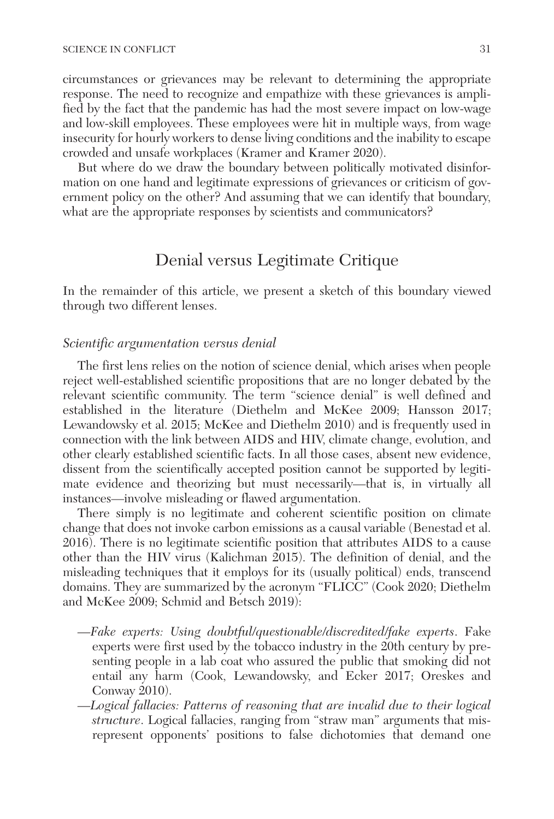circumstances or grievances may be relevant to determining the appropriate response. The need to recognize and empathize with these grievances is amplified by the fact that the pandemic has had the most severe impact on low-wage and low-skill employees. These employees were hit in multiple ways, from wage insecurity for hourly workers to dense living conditions and the inability to escape crowded and unsafe workplaces (Kramer and Kramer 2020).

But where do we draw the boundary between politically motivated disinformation on one hand and legitimate expressions of grievances or criticism of government policy on the other? And assuming that we can identify that boundary, what are the appropriate responses by scientists and communicators?

### Denial versus Legitimate Critique

In the remainder of this article, we present a sketch of this boundary viewed through two different lenses.

### *Scientific argumentation versus denial*

The first lens relies on the notion of science denial, which arises when people reject well-established scientific propositions that are no longer debated by the relevant scientific community. The term "science denial" is well defined and established in the literature (Diethelm and McKee 2009; Hansson 2017; Lewandowsky et al. 2015; McKee and Diethelm 2010) and is frequently used in connection with the link between AIDS and HIV, climate change, evolution, and other clearly established scientific facts. In all those cases, absent new evidence, dissent from the scientifically accepted position cannot be supported by legitimate evidence and theorizing but must necessarily—that is, in virtually all instances—involve misleading or flawed argumentation.

There simply is no legitimate and coherent scientific position on climate change that does not invoke carbon emissions as a causal variable (Benestad et al. 2016). There is no legitimate scientific position that attributes AIDS to a cause other than the HIV virus (Kalichman 2015). The definition of denial, and the misleading techniques that it employs for its (usually political) ends, transcend domains. They are summarized by the acronym "FLICC" (Cook 2020; Diethelm and McKee 2009; Schmid and Betsch 2019):

- *—Fake experts: Using doubtful/questionable/discredited/fake experts*. Fake experts were first used by the tobacco industry in the 20th century by presenting people in a lab coat who assured the public that smoking did not entail any harm (Cook, Lewandowsky, and Ecker 2017; Oreskes and Conway 2010).
- *—Logical fallacies: Patterns of reasoning that are invalid due to their logical structure*. Logical fallacies, ranging from "straw man" arguments that misrepresent opponents' positions to false dichotomies that demand one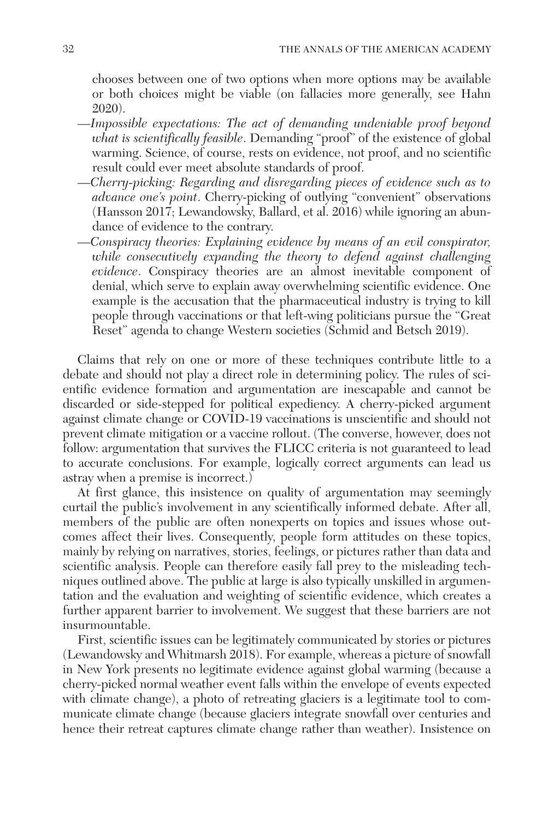chooses between one of two options when more options may be available or both choices might be viable (on fallacies more generally, see Hahn 2020).

- *—Impossible expectations: The act of demanding undeniable proof beyond what is scientifically feasible*. Demanding "proof" of the existence of global warming. Science, of course, rests on evidence, not proof, and no scientific result could ever meet absolute standards of proof.
- *—Cherry-picking: Regarding and disregarding pieces of evidence such as to advance one's point*. Cherry-picking of outlying "convenient" observations (Hansson 2017; Lewandowsky, Ballard, et al. 2016) while ignoring an abundance of evidence to the contrary.
- *—Conspiracy theories: Explaining evidence by means of an evil conspirator, while consecutively expanding the theory to defend against challenging evidence*. Conspiracy theories are an almost inevitable component of denial, which serve to explain away overwhelming scientific evidence. One example is the accusation that the pharmaceutical industry is trying to kill people through vaccinations or that left-wing politicians pursue the "Great Reset" agenda to change Western societies (Schmid and Betsch 2019).

Claims that rely on one or more of these techniques contribute little to a debate and should not play a direct role in determining policy. The rules of scientific evidence formation and argumentation are inescapable and cannot be discarded or side-stepped for political expediency. A cherry-picked argument against climate change or COVID-19 vaccinations is unscientific and should not prevent climate mitigation or a vaccine rollout. (The converse, however, does not follow: argumentation that survives the FLICC criteria is not guaranteed to lead to accurate conclusions. For example, logically correct arguments can lead us astray when a premise is incorrect.)

At first glance, this insistence on quality of argumentation may seemingly curtail the public's involvement in any scientifically informed debate. After all, members of the public are often nonexperts on topics and issues whose outcomes affect their lives. Consequently, people form attitudes on these topics, mainly by relying on narratives, stories, feelings, or pictures rather than data and scientific analysis. People can therefore easily fall prey to the misleading techniques outlined above. The public at large is also typically unskilled in argumentation and the evaluation and weighting of scientific evidence, which creates a further apparent barrier to involvement. We suggest that these barriers are not insurmountable.

First, scientific issues can be legitimately communicated by stories or pictures (Lewandowsky and Whitmarsh 2018). For example, whereas a picture of snowfall in New York presents no legitimate evidence against global warming (because a cherry-picked normal weather event falls within the envelope of events expected with climate change), a photo of retreating glaciers is a legitimate tool to communicate climate change (because glaciers integrate snowfall over centuries and hence their retreat captures climate change rather than weather). Insistence on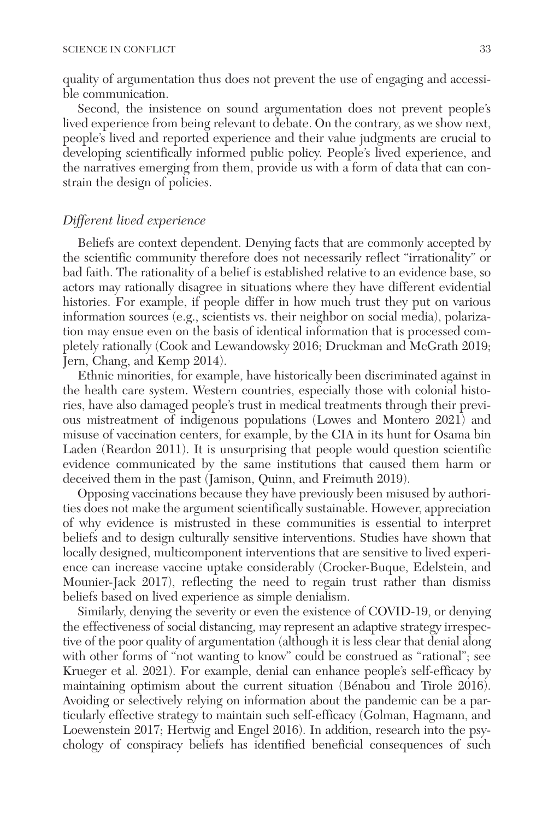quality of argumentation thus does not prevent the use of engaging and accessible communication.

Second, the insistence on sound argumentation does not prevent people's lived experience from being relevant to debate. On the contrary, as we show next, people's lived and reported experience and their value judgments are crucial to developing scientifically informed public policy. People's lived experience, and the narratives emerging from them, provide us with a form of data that can constrain the design of policies.

#### *Different lived experience*

Beliefs are context dependent. Denying facts that are commonly accepted by the scientific community therefore does not necessarily reflect "irrationality" or bad faith. The rationality of a belief is established relative to an evidence base, so actors may rationally disagree in situations where they have different evidential histories. For example, if people differ in how much trust they put on various information sources (e.g., scientists vs. their neighbor on social media), polarization may ensue even on the basis of identical information that is processed completely rationally (Cook and Lewandowsky 2016; Druckman and McGrath 2019; Jern, Chang, and Kemp 2014).

Ethnic minorities, for example, have historically been discriminated against in the health care system. Western countries, especially those with colonial histories, have also damaged people's trust in medical treatments through their previous mistreatment of indigenous populations (Lowes and Montero 2021) and misuse of vaccination centers, for example, by the CIA in its hunt for Osama bin Laden (Reardon 2011). It is unsurprising that people would question scientific evidence communicated by the same institutions that caused them harm or deceived them in the past (Jamison, Quinn, and Freimuth 2019).

Opposing vaccinations because they have previously been misused by authorities does not make the argument scientifically sustainable. However, appreciation of why evidence is mistrusted in these communities is essential to interpret beliefs and to design culturally sensitive interventions. Studies have shown that locally designed, multicomponent interventions that are sensitive to lived experience can increase vaccine uptake considerably (Crocker-Buque, Edelstein, and Mounier-Jack 2017), reflecting the need to regain trust rather than dismiss beliefs based on lived experience as simple denialism.

Similarly, denying the severity or even the existence of COVID-19, or denying the effectiveness of social distancing, may represent an adaptive strategy irrespective of the poor quality of argumentation (although it is less clear that denial along with other forms of "not wanting to know" could be construed as "rational"; see Krueger et al. 2021). For example, denial can enhance people's self-efficacy by maintaining optimism about the current situation (Bénabou and Tirole 2016). Avoiding or selectively relying on information about the pandemic can be a particularly effective strategy to maintain such self-efficacy (Golman, Hagmann, and Loewenstein 2017; Hertwig and Engel 2016). In addition, research into the psychology of conspiracy beliefs has identified beneficial consequences of such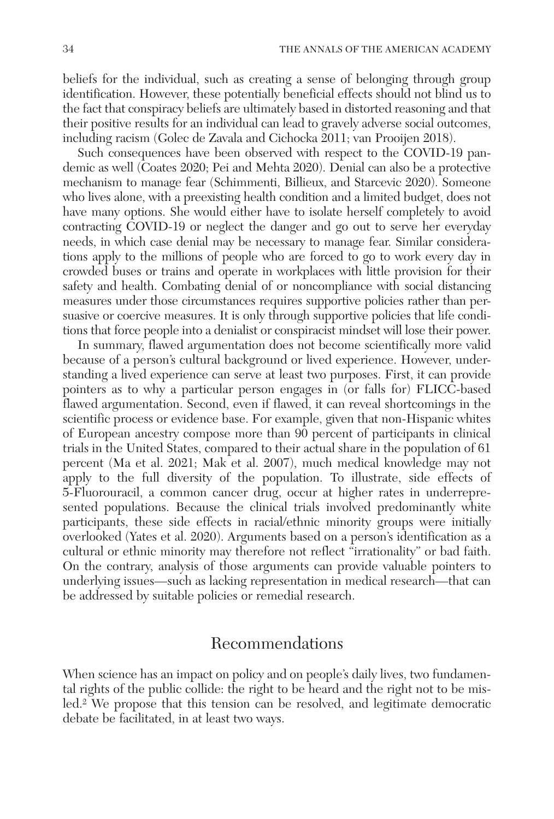beliefs for the individual, such as creating a sense of belonging through group identification. However, these potentially beneficial effects should not blind us to the fact that conspiracy beliefs are ultimately based in distorted reasoning and that their positive results for an individual can lead to gravely adverse social outcomes, including racism (Golec de Zavala and Cichocka 2011; van Prooijen 2018).

Such consequences have been observed with respect to the COVID-19 pandemic as well (Coates 2020; Pei and Mehta 2020). Denial can also be a protective mechanism to manage fear (Schimmenti, Billieux, and Starcevic 2020). Someone who lives alone, with a preexisting health condition and a limited budget, does not have many options. She would either have to isolate herself completely to avoid contracting COVID-19 or neglect the danger and go out to serve her everyday needs, in which case denial may be necessary to manage fear. Similar considerations apply to the millions of people who are forced to go to work every day in crowded buses or trains and operate in workplaces with little provision for their safety and health. Combating denial of or noncompliance with social distancing measures under those circumstances requires supportive policies rather than persuasive or coercive measures. It is only through supportive policies that life conditions that force people into a denialist or conspiracist mindset will lose their power.

In summary, flawed argumentation does not become scientifically more valid because of a person's cultural background or lived experience. However, understanding a lived experience can serve at least two purposes. First, it can provide pointers as to why a particular person engages in (or falls for) FLICC-based flawed argumentation. Second, even if flawed, it can reveal shortcomings in the scientific process or evidence base. For example, given that non-Hispanic whites of European ancestry compose more than 90 percent of participants in clinical trials in the United States, compared to their actual share in the population of 61 percent (Ma et al. 2021; Mak et al. 2007), much medical knowledge may not apply to the full diversity of the population. To illustrate, side effects of 5-Fluorouracil, a common cancer drug, occur at higher rates in underrepresented populations. Because the clinical trials involved predominantly white participants, these side effects in racial/ethnic minority groups were initially overlooked (Yates et al. 2020). Arguments based on a person's identification as a cultural or ethnic minority may therefore not reflect "irrationality" or bad faith. On the contrary, analysis of those arguments can provide valuable pointers to underlying issues—such as lacking representation in medical research—that can be addressed by suitable policies or remedial research.

### Recommendations

When science has an impact on policy and on people's daily lives, two fundamental rights of the public collide: the right to be heard and the right not to be misled.2 We propose that this tension can be resolved, and legitimate democratic debate be facilitated, in at least two ways.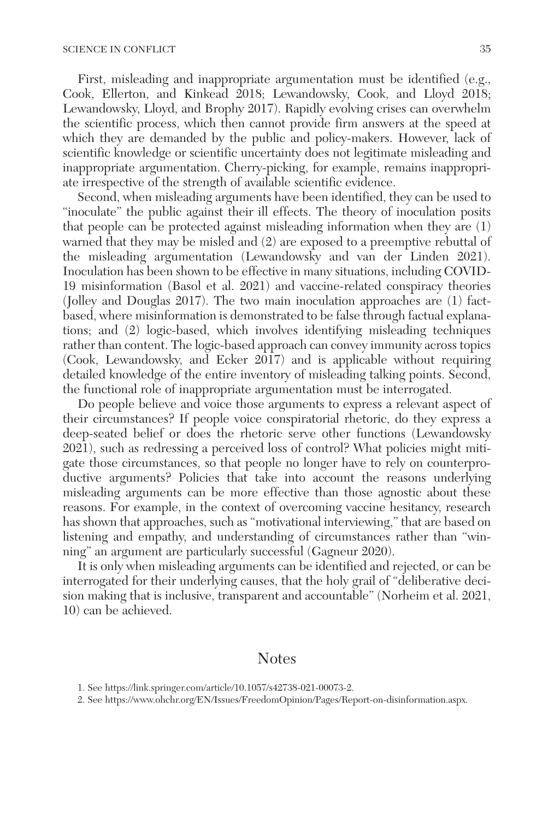First, misleading and inappropriate argumentation must be identified (e.g., Cook, Ellerton, and Kinkead 2018; Lewandowsky, Cook, and Lloyd 2018; Lewandowsky, Lloyd, and Brophy 2017). Rapidly evolving crises can overwhelm the scientific process, which then cannot provide firm answers at the speed at which they are demanded by the public and policy-makers. However, lack of scientific knowledge or scientific uncertainty does not legitimate misleading and inappropriate argumentation. Cherry-picking, for example, remains inappropriate irrespective of the strength of available scientific evidence.

Second, when misleading arguments have been identified, they can be used to "inoculate" the public against their ill effects. The theory of inoculation posits that people can be protected against misleading information when they are (1) warned that they may be misled and (2) are exposed to a preemptive rebuttal of the misleading argumentation (Lewandowsky and van der Linden 2021). Inoculation has been shown to be effective in many situations, including COVID-19 misinformation (Basol et al. 2021) and vaccine-related conspiracy theories (Jolley and Douglas 2017). The two main inoculation approaches are (1) factbased, where misinformation is demonstrated to be false through factual explanations; and (2) logic-based, which involves identifying misleading techniques rather than content. The logic-based approach can convey immunity across topics (Cook, Lewandowsky, and Ecker 2017) and is applicable without requiring detailed knowledge of the entire inventory of misleading talking points. Second, the functional role of inappropriate argumentation must be interrogated.

Do people believe and voice those arguments to express a relevant aspect of their circumstances? If people voice conspiratorial rhetoric, do they express a deep-seated belief or does the rhetoric serve other functions (Lewandowsky 2021), such as redressing a perceived loss of control? What policies might mitigate those circumstances, so that people no longer have to rely on counterproductive arguments? Policies that take into account the reasons underlying misleading arguments can be more effective than those agnostic about these reasons. For example, in the context of overcoming vaccine hesitancy, research has shown that approaches, such as "motivational interviewing," that are based on listening and empathy, and understanding of circumstances rather than "winning" an argument are particularly successful (Gagneur 2020).

It is only when misleading arguments can be identified and rejected, or can be interrogated for their underlying causes, that the holy grail of "deliberative decision making that is inclusive, transparent and accountable" (Norheim et al. 2021, 10) can be achieved.

### Notes

<sup>1.</sup> See [https://link.springer.com/article/10.1057/s42738-021-00073-2.](https://link.springer.com/article/10.1057/s42738-021-00073-2)

<sup>2.</sup> See<https://www.ohchr.org/EN/Issues/FreedomOpinion/Pages/Report-on-disinformation.aspx>.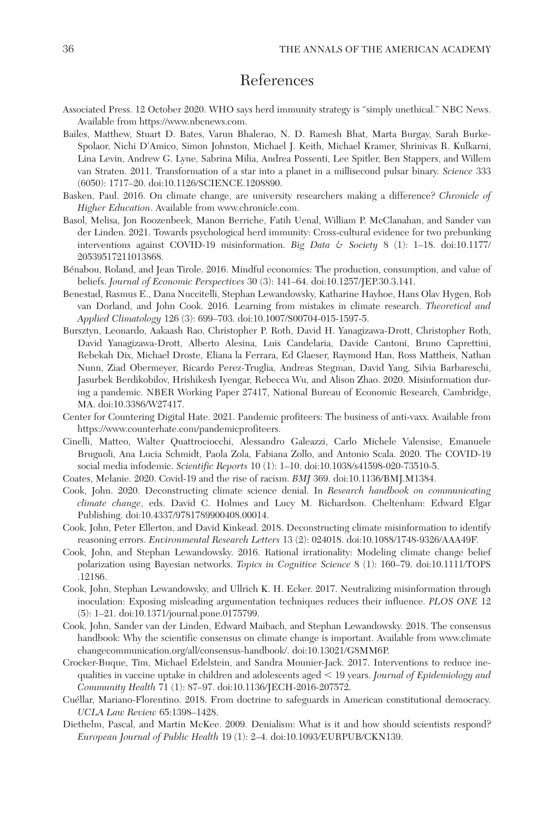## References

- Associated Press. 12 October 2020. WHO says herd immunity strategy is "simply unethical." NBC News. Available from [https://www.nbcnews.com.](https://www.nbcnews.com)
- Bailes, Matthew, Stuart D. Bates, Varun Bhalerao, N. D. Ramesh Bhat, Marta Burgay, Sarah Burke-Spolaor, Nichi D'Amico, Simon Johnston, Michael J. Keith, Michael Kramer, Shrinivas R. Kulkarni, Lina Levin, Andrew G. Lyne, Sabrina Milia, Andrea Possenti, Lee Spitler, Ben Stappers, and Willem van Straten. 2011. Transformation of a star into a planet in a millisecond pulsar binary. *Science* 333 (6050): 1717–20. doi:10.1126/SCIENCE.1208890.
- Basken, Paul. 2016. On climate change, are university researchers making a difference? *Chronicle of Higher Education*. Available from <www.chronicle.com>.
- Basol, Melisa, Jon Roozenbeek, Manon Berriche, Fatih Uenal, William P. McClanahan, and Sander van der Linden. 2021. Towards psychological herd immunity: Cross-cultural evidence for two prebunking interventions against COVID-19 misinformation. *Big Data & Society* 8 (1): 1–18. doi:10.1177/ 20539517211013868.
- Bénabou, Roland, and Jean Tirole. 2016. Mindful economics: The production, consumption, and value of beliefs. *Journal of Economic Perspectives* 30 (3): 141–64. doi:10.1257/JEP.30.3.141.
- Benestad, Rasmus E., Dana Nuccitelli, Stephan Lewandowsky, Katharine Hayhoe, Hans Olav Hygen, Rob van Dorland, and John Cook. 2016. Learning from mistakes in climate research. *Theoretical and Applied Climatology* 126 (3): 699–703. doi:10.1007/S00704-015-1597-5.
- Bursztyn, Leonardo, Aakaash Rao, Christopher P. Roth, David H. Yanagizawa-Drott, Christopher Roth, David Yanagizawa-Drott, Alberto Alesina, Luis Candelaria, Davide Cantoni, Bruno Caprettini, Rebekah Dix, Michael Droste, Eliana la Ferrara, Ed Glaeser, Raymond Han, Ross Mattheis, Nathan Nunn, Ziad Obermeyer, Ricardo Perez-Truglia, Andreas Stegman, David Yang, Silvia Barbareschi, Jasurbek Berdikobilov, Hrishikesh Iyengar, Rebecca Wu, and Alison Zhao. 2020. Misinformation during a pandemic. NBER Working Paper 27417, National Bureau of Economic Research, Cambridge, MA. doi:10.3386/W27417.
- Center for Countering Digital Hate. 2021. Pandemic profiteers: The business of anti-vaxx. Available from <https://www.counterhate.com/pandemicprofiteers>.
- Cinelli, Matteo, Walter Quattrociocchi, Alessandro Galeazzi, Carlo Michele Valensise, Emanuele Brugnoli, Ana Lucia Schmidt, Paola Zola, Fabiana Zollo, and Antonio Scala. 2020. The COVID-19 social media infodemic. *Scientific Reports* 10 (1): 1–10. doi:10.1038/s41598-020-73510-5.
- Coates, Melanie. 2020. Covid-19 and the rise of racism. *BMJ* 369. doi:10.1136/BMJ.M1384.
- Cook, John. 2020. Deconstructing climate science denial. In *Research handbook on communicating climate change*, eds. David C. Holmes and Lucy M. Richardson. Cheltenham: Edward Elgar Publishing. doi:10.4337/9781789900408.00014.
- Cook, John, Peter Ellerton, and David Kinkead. 2018. Deconstructing climate misinformation to identify reasoning errors. *Environmental Research Letters* 13 (2): 024018. doi:10.1088/1748-9326/AAA49F.
- Cook, John, and Stephan Lewandowsky. 2016. Rational irrationality: Modeling climate change belief polarization using Bayesian networks. *Topics in Cognitive Science* 8 (1): 160–79. doi:10.1111/TOPS .12186.
- Cook, John, Stephan Lewandowsky, and Ullrich K. H. Ecker. 2017. Neutralizing misinformation through inoculation: Exposing misleading argumentation techniques reduces their influence. *PLOS ONE* 12 (5): 1–21. doi:10.1371/journal.pone.0175799.
- Cook, John, Sander van der Linden, Edward Maibach, and Stephan Lewandowsky. 2018. The consensus handbook: Why the scientific consensus on climate change is important. Available from [www.climate](www.climatechangecommunication.org/all/consensus-handbook/) [changecommunication.org/all/consensus-handbook/](www.climatechangecommunication.org/all/consensus-handbook/). doi:10.13021/G8MM6P.
- Crocker-Buque, Tim, Michael Edelstein, and Sandra Mounier-Jack. 2017. Interventions to reduce inequalities in vaccine uptake in children and adolescents aged < 19 years. *Journal of Epidemiology and Community Health* 71 (1): 87–97. doi:10.1136/JECH-2016-207572.
- Cuéllar, Mariano-Florentino. 2018. From doctrine to safeguards in American constitutional democracy. *UCLA Law Review* 65:1398–1428.
- Diethelm, Pascal, and Martin McKee. 2009. Denialism: What is it and how should scientists respond? *European Journal of Public Health* 19 (1): 2–4. doi:10.1093/EURPUB/CKN139.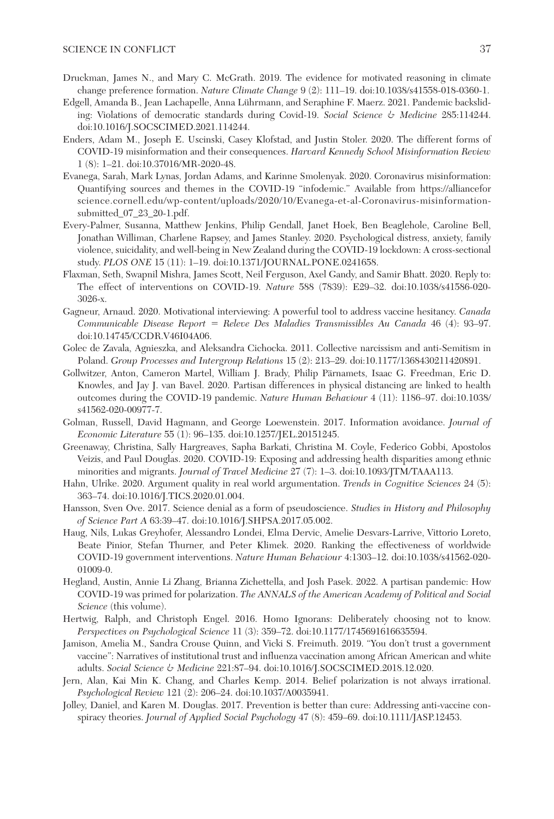#### SCIENCE IN CONFLICT 37

- Druckman, James N., and Mary C. McGrath. 2019. The evidence for motivated reasoning in climate change preference formation. *Nature Climate Change* 9 (2): 111–19. doi:10.1038/s41558-018-0360-1.
- Edgell, Amanda B., Jean Lachapelle, Anna Lührmann, and Seraphine F. Maerz. 2021. Pandemic backsliding: Violations of democratic standards during Covid-19. *Social Science & Medicine* 285:114244. doi:10.1016/J.SOCSCIMED.2021.114244.
- Enders, Adam M., Joseph E. Uscinski, Casey Klofstad, and Justin Stoler. 2020. The different forms of COVID-19 misinformation and their consequences. *Harvard Kennedy School Misinformation Review* 1 (8): 1–21. doi:10.37016/MR-2020-48.
- Evanega, Sarah, Mark Lynas, Jordan Adams, and Karinne Smolenyak. 2020. Coronavirus misinformation: Quantifying sources and themes in the COVID-19 "infodemic." Available from [https://alliancefor](https://allianceforscience.cornell.edu/wp-content/uploads/2020/10/Evanega-et-al-Coronavirus-misinformation-submitted_07_23_20-1.pdf) [science.cornell.edu/wp-content/uploads/2020/10/Evanega-et-al-Coronavirus-misinformation](https://allianceforscience.cornell.edu/wp-content/uploads/2020/10/Evanega-et-al-Coronavirus-misinformation-submitted_07_23_20-1.pdf)[submitted\\_07\\_23\\_20-1.pdf](https://allianceforscience.cornell.edu/wp-content/uploads/2020/10/Evanega-et-al-Coronavirus-misinformation-submitted_07_23_20-1.pdf).
- Every-Palmer, Susanna, Matthew Jenkins, Philip Gendall, Janet Hoek, Ben Beaglehole, Caroline Bell, Jonathan Williman, Charlene Rapsey, and James Stanley. 2020. Psychological distress, anxiety, family violence, suicidality, and well-being in New Zealand during the COVID-19 lockdown: A cross-sectional study. *PLOS ONE* 15 (11): 1–19. doi:10.1371/JOURNAL.PONE.0241658.
- Flaxman, Seth, Swapnil Mishra, James Scott, Neil Ferguson, Axel Gandy, and Samir Bhatt. 2020. Reply to: The effect of interventions on COVID-19. *Nature* 588 (7839): E29–32. doi:10.1038/s41586-020- 3026-x.
- Gagneur, Arnaud. 2020. Motivational interviewing: A powerful tool to address vaccine hesitancy. *Canada Communicable Disease Report* = *Releve Des Maladies Transmissibles Au Canada* 46 (4): 93–97. doi:10.14745/CCDR.V46I04A06.
- Golec de Zavala, Agnieszka, and Aleksandra Cichocka. 2011. Collective narcissism and anti-Semitism in Poland. *Group Processes and Intergroup Relations* 15 (2): 213–29. doi:10.1177/1368430211420891.
- Gollwitzer, Anton, Cameron Martel, William J. Brady, Philip Pärnamets, Isaac G. Freedman, Eric D. Knowles, and Jay J. van Bavel. 2020. Partisan differences in physical distancing are linked to health outcomes during the COVID-19 pandemic. *Nature Human Behaviour* 4 (11): 1186–97. doi:10.1038/ s41562-020-00977-7.
- Golman, Russell, David Hagmann, and George Loewenstein. 2017. Information avoidance. *Journal of Economic Literature* 55 (1): 96–135. doi:10.1257/JEL.20151245.
- Greenaway, Christina, Sally Hargreaves, Sapha Barkati, Christina M. Coyle, Federico Gobbi, Apostolos Veizis, and Paul Douglas. 2020. COVID-19: Exposing and addressing health disparities among ethnic minorities and migrants. *Journal of Travel Medicine* 27 (7): 1–3. doi:10.1093/JTM/TAAA113.
- Hahn, Ulrike. 2020. Argument quality in real world argumentation. *Trends in Cognitive Sciences* 24 (5): 363–74. doi:10.1016/J.TICS.2020.01.004.
- Hansson, Sven Ove. 2017. Science denial as a form of pseudoscience. *Studies in History and Philosophy of Science Part A* 63:39–47. doi:10.1016/J.SHPSA.2017.05.002.
- Haug, Nils, Lukas Greyhofer, Alessandro Londei, Elma Dervic, Amelie Desvars-Larrive, Vittorio Loreto, Beate Pinior, Stefan Thurner, and Peter Klimek. 2020. Ranking the effectiveness of worldwide COVID-19 government interventions. *Nature Human Behaviour* 4:1303–12. doi:10.1038/s41562-020- 01009-0.
- Hegland, Austin, Annie Li Zhang, Brianna Zichettella, and Josh Pasek. 2022. A partisan pandemic: How COVID-19 was primed for polarization. *The ANNALS of the American Academy of Political and Social Science* (this volume).
- Hertwig, Ralph, and Christoph Engel. 2016. Homo Ignorans: Deliberately choosing not to know. *Perspectives on Psychological Science* 11 (3): 359–72. doi:10.1177/1745691616635594.
- Jamison, Amelia M., Sandra Crouse Quinn, and Vicki S. Freimuth. 2019. "You don't trust a government vaccine": Narratives of institutional trust and influenza vaccination among African American and white adults. *Social Science & Medicine* 221:87–94. doi:10.1016/J.SOCSCIMED.2018.12.020.
- Jern, Alan, Kai Min K. Chang, and Charles Kemp. 2014. Belief polarization is not always irrational. *Psychological Review* 121 (2): 206–24. doi:10.1037/A0035941.
- Jolley, Daniel, and Karen M. Douglas. 2017. Prevention is better than cure: Addressing anti-vaccine conspiracy theories. *Journal of Applied Social Psychology* 47 (8): 459–69. doi:10.1111/JASP.12453.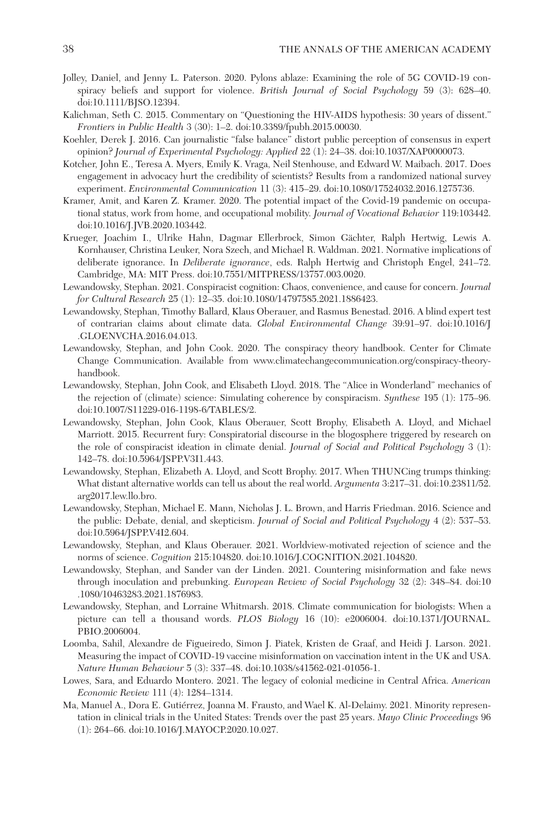- Jolley, Daniel, and Jenny L. Paterson. 2020. Pylons ablaze: Examining the role of 5G COVID-19 conspiracy beliefs and support for violence. *British Journal of Social Psychology* 59 (3): 628–40. doi:10.1111/BJSO.12394.
- Kalichman, Seth C. 2015. Commentary on "Questioning the HIV-AIDS hypothesis: 30 years of dissent." *Frontiers in Public Health* 3 (30): 1–2. doi:10.3389/fpubh.2015.00030.
- Koehler, Derek J. 2016. Can journalistic "false balance" distort public perception of consensus in expert opinion? *Journal of Experimental Psychology: Applied* 22 (1): 24–38. doi:10.1037/XAP0000073.
- Kotcher, John E., Teresa A. Myers, Emily K. Vraga, Neil Stenhouse, and Edward W. Maibach. 2017. Does engagement in advocacy hurt the credibility of scientists? Results from a randomized national survey experiment. *Environmental Communication* 11 (3): 415–29. doi:10.1080/17524032.2016.1275736.
- Kramer, Amit, and Karen Z. Kramer. 2020. The potential impact of the Covid-19 pandemic on occupational status, work from home, and occupational mobility. *Journal of Vocational Behavior* 119:103442. doi:10.1016/J.JVB.2020.103442.
- Krueger, Joachim I., Ulrike Hahn, Dagmar Ellerbrock, Simon Gächter, Ralph Hertwig, Lewis A. Kornhauser, Christina Leuker, Nora Szech, and Michael R. Waldman. 2021. Normative implications of deliberate ignorance. In *Deliberate ignorance*, eds. Ralph Hertwig and Christoph Engel, 241–72. Cambridge, MA: MIT Press. doi:10.7551/MITPRESS/13757.003.0020.
- Lewandowsky, Stephan. 2021. Conspiracist cognition: Chaos, convenience, and cause for concern. *Journal for Cultural Research* 25 (1): 12–35. doi:10.1080/14797585.2021.1886423.
- Lewandowsky, Stephan, Timothy Ballard, Klaus Oberauer, and Rasmus Benestad. 2016. A blind expert test of contrarian claims about climate data. *Global Environmental Change* 39:91–97. doi:10.1016/J .GLOENVCHA.2016.04.013.
- Lewandowsky, Stephan, and John Cook. 2020. The conspiracy theory handbook. Center for Climate Change Communication. Available from [www.climatechangecommunication.org/conspiracy-theory](www.climatechangecommunication.org/conspiracy-theory-handbook)[handbook.](www.climatechangecommunication.org/conspiracy-theory-handbook)
- Lewandowsky, Stephan, John Cook, and Elisabeth Lloyd. 2018. The "Alice in Wonderland" mechanics of the rejection of (climate) science: Simulating coherence by conspiracism. *Synthese* 195 (1): 175–96. doi:10.1007/S11229-016-1198-6/TABLES/2.
- Lewandowsky, Stephan, John Cook, Klaus Oberauer, Scott Brophy, Elisabeth A. Lloyd, and Michael Marriott. 2015. Recurrent fury: Conspiratorial discourse in the blogosphere triggered by research on the role of conspiracist ideation in climate denial. *Journal of Social and Political Psychology* 3 (1): 142–78. doi:10.5964/JSPP.V3I1.443.
- Lewandowsky, Stephan, Elizabeth A. Lloyd, and Scott Brophy. 2017. When THUNCing trumps thinking: What distant alternative worlds can tell us about the real world. *Argumenta* 3:217–31. doi:10.23811/52. arg2017.lew.llo.bro.
- Lewandowsky, Stephan, Michael E. Mann, Nicholas J. L. Brown, and Harris Friedman. 2016. Science and the public: Debate, denial, and skepticism. *Journal of Social and Political Psychology* 4 (2): 537–53. doi:10.5964/JSPP.V4I2.604.
- Lewandowsky, Stephan, and Klaus Oberauer. 2021. Worldview-motivated rejection of science and the norms of science. *Cognition* 215:104820. doi:10.1016/J.COGNITION.2021.104820.
- Lewandowsky, Stephan, and Sander van der Linden. 2021. Countering misinformation and fake news through inoculation and prebunking. *European Review of Social Psychology* 32 (2): 348–84. doi:10 .1080/10463283.2021.1876983.
- Lewandowsky, Stephan, and Lorraine Whitmarsh. 2018. Climate communication for biologists: When a picture can tell a thousand words. *PLOS Biology* 16 (10): e2006004. doi:10.1371/JOURNAL. PBIO.2006004.
- Loomba, Sahil, Alexandre de Figueiredo, Simon J. Piatek, Kristen de Graaf, and Heidi J. Larson. 2021. Measuring the impact of COVID-19 vaccine misinformation on vaccination intent in the UK and USA. *Nature Human Behaviour* 5 (3): 337–48. doi:10.1038/s41562-021-01056-1.
- Lowes, Sara, and Eduardo Montero. 2021. The legacy of colonial medicine in Central Africa. *American Economic Review* 111 (4): 1284–1314.
- Ma, Manuel A., Dora E. Gutiérrez, Joanna M. Frausto, and Wael K. Al-Delaimy. 2021. Minority representation in clinical trials in the United States: Trends over the past 25 years. *Mayo Clinic Proceedings* 96 (1): 264–66. doi:10.1016/J.MAYOCP.2020.10.027.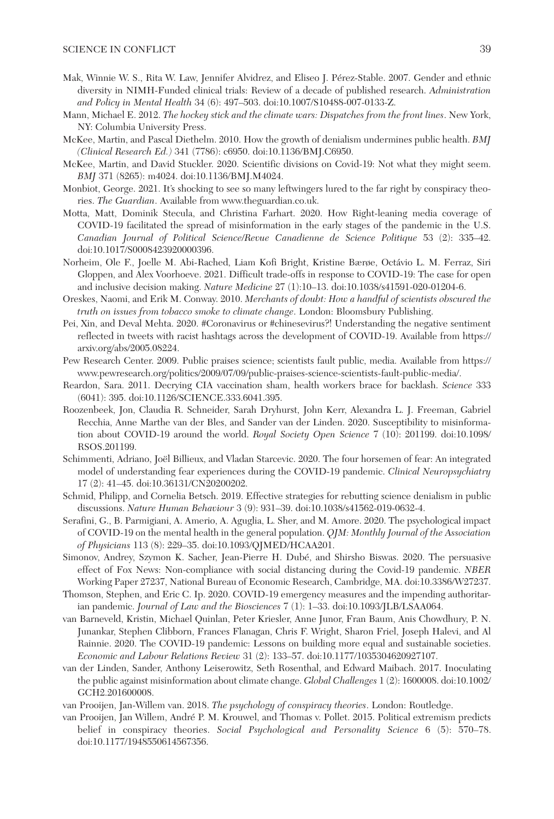- Mak, Winnie W. S., Rita W. Law, Jennifer Alvidrez, and Eliseo J. Pérez-Stable. 2007. Gender and ethnic diversity in NIMH-Funded clinical trials: Review of a decade of published research. *Administration and Policy in Mental Health* 34 (6): 497–503. doi:10.1007/S10488-007-0133-Z.
- Mann, Michael E. 2012. *The hockey stick and the climate wars: Dispatches from the front lines*. New York, NY: Columbia University Press.
- McKee, Martin, and Pascal Diethelm. 2010. How the growth of denialism undermines public health. *BMJ (Clinical Research Ed.)* 341 (7786): c6950. doi:10.1136/BMJ.C6950.
- McKee, Martin, and David Stuckler. 2020. Scientific divisions on Covid-19: Not what they might seem. *BMJ* 371 (8265): m4024. doi:10.1136/BMJ.M4024.
- Monbiot, George. 2021. It's shocking to see so many leftwingers lured to the far right by conspiracy theories. *The Guardian*. Available from<www.theguardian.co.uk>.
- Motta, Matt, Dominik Stecula, and Christina Farhart. 2020. How Right-leaning media coverage of COVID-19 facilitated the spread of misinformation in the early stages of the pandemic in the U.S. *Canadian Journal of Political Science/Revue Canadienne de Science Politique* 53 (2): 335–42. doi:10.1017/S0008423920000396.
- Norheim, Ole F., Joelle M. Abi-Rached, Liam Kofi Bright, Kristine Bærøe, Octávio L. M. Ferraz, Siri Gloppen, and Alex Voorhoeve. 2021. Difficult trade-offs in response to COVID-19: The case for open and inclusive decision making. *Nature Medicine* 27 (1):10–13. doi:10.1038/s41591-020-01204-6.
- Oreskes, Naomi, and Erik M. Conway. 2010. *Merchants of doubt: How a handful of scientists obscured the truth on issues from tobacco smoke to climate change*. London: Bloomsbury Publishing.
- Pei, Xin, and Deval Mehta. 2020. #Coronavirus or #chinesevirus?! Understanding the negative sentiment reflected in tweets with racist hashtags across the development of COVID-19. Available from [https://](https://arxiv.org/abs/2005.08224) [arxiv.org/abs/2005.08224.](https://arxiv.org/abs/2005.08224)
- Pew Research Center. 2009. Public praises science; scientists fault public, media. Available from [https://](https://www.pewresearch.org/politics/2009/07/09/public-praises-science-scientists-fault-public-media/) [www.pewresearch.org/politics/2009/07/09/public-praises-science-scientists-fault-public-media/](https://www.pewresearch.org/politics/2009/07/09/public-praises-science-scientists-fault-public-media/).
- Reardon, Sara. 2011. Decrying CIA vaccination sham, health workers brace for backlash. *Science* 333 (6041): 395. doi:10.1126/SCIENCE.333.6041.395.
- Roozenbeek, Jon, Claudia R. Schneider, Sarah Dryhurst, John Kerr, Alexandra L. J. Freeman, Gabriel Recchia, Anne Marthe van der Bles, and Sander van der Linden. 2020. Susceptibility to misinformation about COVID-19 around the world. *Royal Society Open Science* 7 (10): 201199. doi:10.1098/ RSOS.201199.
- Schimmenti, Adriano, Joël Billieux, and Vladan Starcevic. 2020. The four horsemen of fear: An integrated model of understanding fear experiences during the COVID-19 pandemic. *Clinical Neuropsychiatry* 17 (2): 41–45. doi:10.36131/CN20200202.
- Schmid, Philipp, and Cornelia Betsch. 2019. Effective strategies for rebutting science denialism in public discussions. *Nature Human Behaviour* 3 (9): 931–39. doi:10.1038/s41562-019-0632-4.
- Serafini, G., B. Parmigiani, A. Amerio, A. Aguglia, L. Sher, and M. Amore. 2020. The psychological impact of COVID-19 on the mental health in the general population. *QJM: Monthly Journal of the Association of Physicians* 113 (8): 229–35. doi:10.1093/QJMED/HCAA201.
- Simonov, Andrey, Szymon K. Sacher, Jean-Pierre H. Dubé, and Shirsho Biswas. 2020. The persuasive effect of Fox News: Non-compliance with social distancing during the Covid-19 pandemic. *NBER* Working Paper 27237, National Bureau of Economic Research, Cambridge, MA. doi:10.3386/W27237.
- Thomson, Stephen, and Eric C. Ip. 2020. COVID-19 emergency measures and the impending authoritarian pandemic. *Journal of Law and the Biosciences* 7 (1): 1–33. doi:10.1093/JLB/LSAA064.
- van Barneveld, Kristin, Michael Quinlan, Peter Kriesler, Anne Junor, Fran Baum, Anis Chowdhury, P. N. Junankar, Stephen Clibborn, Frances Flanagan, Chris F. Wright, Sharon Friel, Joseph Halevi, and Al Rainnie. 2020. The COVID-19 pandemic: Lessons on building more equal and sustainable societies. *Economic and Labour Relations Review* 31 (2): 133–57. doi:10.1177/1035304620927107.
- van der Linden, Sander, Anthony Leiserowitz, Seth Rosenthal, and Edward Maibach. 2017. Inoculating the public against misinformation about climate change. *Global Challenges* 1 (2): 1600008. doi:10.1002/ GCH2.201600008.

van Prooijen, Jan-Willem van. 2018. *The psychology of conspiracy theories*. London: Routledge.

van Prooijen, Jan Willem, André P. M. Krouwel, and Thomas v. Pollet. 2015. Political extremism predicts belief in conspiracy theories. *Social Psychological and Personality Science* 6 (5): 570–78. doi:10.1177/1948550614567356.